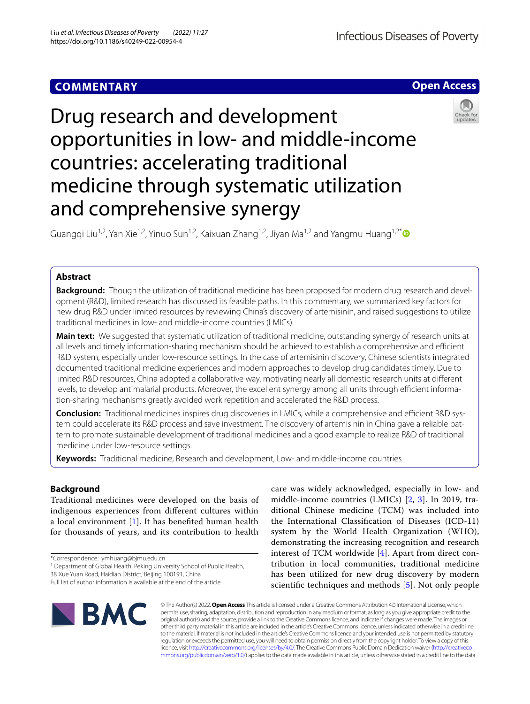## **COMMENTARY**

**Open Access**

# Drug research and development opportunities in low- and middle-income countries: accelerating traditional medicine through systematic utilization and comprehensive synergy

Guangqi Liu<sup>1,2</sup>, Yan Xie<sup>1,2</sup>, Yinuo Sun<sup>1,2</sup>, Kaixuan Zhang<sup>1,2</sup>, Jiyan Ma<sup>1,2</sup> and Yangmu Huang<sup>1,2[\\*](http://orcid.org/0000-0002-3660-1276)</sup>

## **Abstract**

**Background:** Though the utilization of traditional medicine has been proposed for modern drug research and development (R&D), limited research has discussed its feasible paths. In this commentary, we summarized key factors for new drug R&D under limited resources by reviewing China's discovery of artemisinin, and raised suggestions to utilize traditional medicines in low- and middle-income countries (LMICs).

**Main text:** We suggested that systematic utilization of traditional medicine, outstanding synergy of research units at all levels and timely information-sharing mechanism should be achieved to establish a comprehensive and efficient R&D system, especially under low-resource settings. In the case of artemisinin discovery, Chinese scientists integrated documented traditional medicine experiences and modern approaches to develop drug candidates timely. Due to limited R&D resources, China adopted a collaborative way, motivating nearly all domestic research units at diferent levels, to develop antimalarial products. Moreover, the excellent synergy among all units through efficient information-sharing mechanisms greatly avoided work repetition and accelerated the R&D process.

**Conclusion:** Traditional medicines inspires drug discoveries in LMICs, while a comprehensive and efficient R&D system could accelerate its R&D process and save investment. The discovery of artemisinin in China gave a reliable pattern to promote sustainable development of traditional medicines and a good example to realize R&D of traditional medicine under low-resource settings.

**Keywords:** Traditional medicine, Research and development, Low- and middle-income countries

## **Background**

Traditional medicines were developed on the basis of indigenous experiences from diferent cultures within a local environment [\[1](#page-3-0)]. It has benefted human health for thousands of years, and its contribution to health

\*Correspondence: ymhuang@bjmu.edu.cn

<sup>1</sup> Department of Global Health, Peking University School of Public Health, 38 Xue Yuan Road, Haidian District, Beijing 100191, China

Full list of author information is available at the end of the article

care was widely acknowledged, especially in low- and middle-income countries (LMICs) [[2,](#page-3-1) [3\]](#page-3-2). In 2019, traditional Chinese medicine (TCM) was included into the International Classifcation of Diseases (ICD-11) system by the World Health Organization (WHO), demonstrating the increasing recognition and research interest of TCM worldwide [\[4](#page-3-3)]. Apart from direct contribution in local communities, traditional medicine has been utilized for new drug discovery by modern scientifc techniques and methods [[5](#page-3-4)]. Not only people



© The Author(s) 2022. **Open Access** This article is licensed under a Creative Commons Attribution 4.0 International License, which permits use, sharing, adaptation, distribution and reproduction in any medium or format, as long as you give appropriate credit to the original author(s) and the source, provide a link to the Creative Commons licence, and indicate if changes were made. The images or other third party material in this article are included in the article's Creative Commons licence, unless indicated otherwise in a credit line to the material. If material is not included in the article's Creative Commons licence and your intended use is not permitted by statutory regulation or exceeds the permitted use, you will need to obtain permission directly from the copyright holder. To view a copy of this licence, visit [http://creativecommons.org/licenses/by/4.0/.](http://creativecommons.org/licenses/by/4.0/) The Creative Commons Public Domain Dedication waiver ([http://creativeco](http://creativecommons.org/publicdomain/zero/1.0/) [mmons.org/publicdomain/zero/1.0/](http://creativecommons.org/publicdomain/zero/1.0/)) applies to the data made available in this article, unless otherwise stated in a credit line to the data.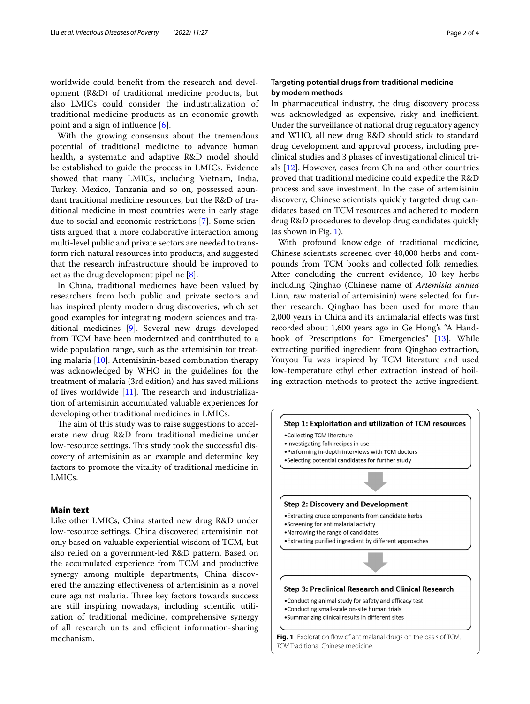worldwide could beneft from the research and development (R&D) of traditional medicine products, but also LMICs could consider the industrialization of traditional medicine products as an economic growth point and a sign of infuence [[6\]](#page-3-5).

With the growing consensus about the tremendous potential of traditional medicine to advance human health, a systematic and adaptive R&D model should be established to guide the process in LMICs. Evidence showed that many LMICs, including Vietnam, India, Turkey, Mexico, Tanzania and so on, possessed abundant traditional medicine resources, but the R&D of traditional medicine in most countries were in early stage due to social and economic restrictions [[7\]](#page-3-6). Some scientists argued that a more collaborative interaction among multi-level public and private sectors are needed to transform rich natural resources into products, and suggested that the research infrastructure should be improved to act as the drug development pipeline [\[8](#page-3-7)].

In China, traditional medicines have been valued by researchers from both public and private sectors and has inspired plenty modern drug discoveries, which set good examples for integrating modern sciences and traditional medicines [[9\]](#page-3-8). Several new drugs developed from TCM have been modernized and contributed to a wide population range, such as the artemisinin for treating malaria [\[10](#page-3-9)]. Artemisinin-based combination therapy was acknowledged by WHO in the guidelines for the treatment of malaria (3rd edition) and has saved millions of lives worldwide  $[11]$  $[11]$ . The research and industrialization of artemisinin accumulated valuable experiences for developing other traditional medicines in LMICs.

The aim of this study was to raise suggestions to accelerate new drug R&D from traditional medicine under low-resource settings. This study took the successful discovery of artemisinin as an example and determine key factors to promote the vitality of traditional medicine in LMICs.

#### **Main text**

Like other LMICs, China started new drug R&D under low-resource settings. China discovered artemisinin not only based on valuable experiential wisdom of TCM, but also relied on a government-led R&D pattern. Based on the accumulated experience from TCM and productive synergy among multiple departments, China discovered the amazing efectiveness of artemisinin as a novel cure against malaria. Three key factors towards success are still inspiring nowadays, including scientifc utilization of traditional medicine, comprehensive synergy of all research units and efficient information-sharing mechanism.

## **Targeting potential drugs from traditional medicine by modern methods**

In pharmaceutical industry, the drug discovery process was acknowledged as expensive, risky and inefficient. Under the surveillance of national drug regulatory agency and WHO, all new drug R&D should stick to standard drug development and approval process, including preclinical studies and 3 phases of investigational clinical trials [[12\]](#page-3-11). However, cases from China and other countries proved that traditional medicine could expedite the R&D process and save investment. In the case of artemisinin discovery, Chinese scientists quickly targeted drug candidates based on TCM resources and adhered to modern drug R&D procedures to develop drug candidates quickly (as shown in Fig. [1](#page-1-0)).

With profound knowledge of traditional medicine, Chinese scientists screened over 40,000 herbs and compounds from TCM books and collected folk remedies. After concluding the current evidence, 10 key herbs including Qinghao (Chinese name of *Artemisia annua* Linn, raw material of artemisinin) were selected for further research. Qinghao has been used for more than 2,000 years in China and its antimalarial efects was frst recorded about 1,600 years ago in Ge Hong's "A Handbook of Prescriptions for Emergencies" [[13](#page-3-12)]. While extracting purifed ingredient from Qinghao extraction, Youyou Tu was inspired by TCM literature and used low-temperature ethyl ether extraction instead of boiling extraction methods to protect the active ingredient.

<span id="page-1-0"></span>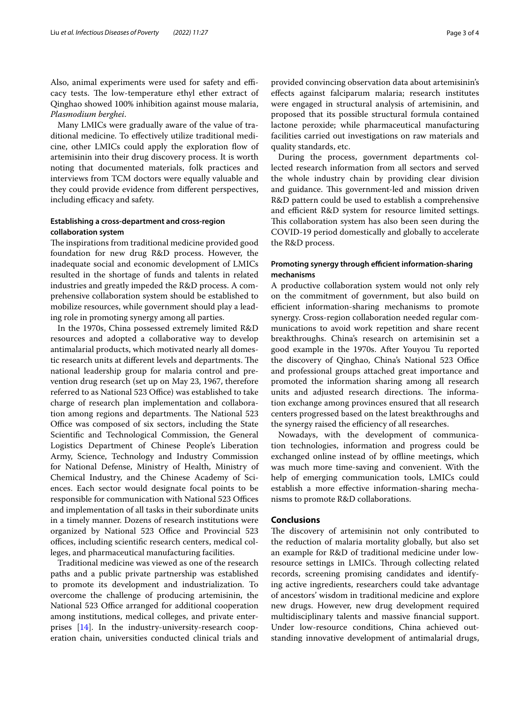Also, animal experiments were used for safety and efficacy tests. The low-temperature ethyl ether extract of Qinghao showed 100% inhibition against mouse malaria, *Plasmodium berghei*.

Many LMICs were gradually aware of the value of traditional medicine. To efectively utilize traditional medicine, other LMICs could apply the exploration fow of artemisinin into their drug discovery process. It is worth noting that documented materials, folk practices and interviews from TCM doctors were equally valuable and they could provide evidence from diferent perspectives, including efficacy and safety.

## **Establishing a cross‑department and cross‑region collaboration system**

The inspirations from traditional medicine provided good foundation for new drug R&D process. However, the inadequate social and economic development of LMICs resulted in the shortage of funds and talents in related industries and greatly impeded the R&D process. A comprehensive collaboration system should be established to mobilize resources, while government should play a leading role in promoting synergy among all parties.

In the 1970s, China possessed extremely limited R&D resources and adopted a collaborative way to develop antimalarial products, which motivated nearly all domestic research units at different levels and departments. The national leadership group for malaria control and prevention drug research (set up on May 23, 1967, therefore referred to as National 523 Office) was established to take charge of research plan implementation and collaboration among regions and departments. The National 523 Office was composed of six sectors, including the State Scientifc and Technological Commission, the General Logistics Department of Chinese People's Liberation Army, Science, Technology and Industry Commission for National Defense, Ministry of Health, Ministry of Chemical Industry, and the Chinese Academy of Sciences. Each sector would designate focal points to be responsible for communication with National 523 Offices and implementation of all tasks in their subordinate units in a timely manner. Dozens of research institutions were organized by National 523 Office and Provincial 523 offices, including scientific research centers, medical colleges, and pharmaceutical manufacturing facilities.

Traditional medicine was viewed as one of the research paths and a public private partnership was established to promote its development and industrialization. To overcome the challenge of producing artemisinin, the National 523 Office arranged for additional cooperation among institutions, medical colleges, and private enterprises [[14\]](#page-3-13). In the industry-university-research cooperation chain, universities conducted clinical trials and provided convincing observation data about artemisinin's efects against falciparum malaria; research institutes were engaged in structural analysis of artemisinin, and proposed that its possible structural formula contained lactone peroxide; while pharmaceutical manufacturing facilities carried out investigations on raw materials and quality standards, etc.

During the process, government departments collected research information from all sectors and served the whole industry chain by providing clear division and guidance. This government-led and mission driven R&D pattern could be used to establish a comprehensive and efficient R&D system for resource limited settings. This collaboration system has also been seen during the COVID-19 period domestically and globally to accelerate the R&D process.

## **Promoting synergy through efficient information-sharing mechanisms**

A productive collaboration system would not only rely on the commitment of government, but also build on efficient information-sharing mechanisms to promote synergy. Cross-region collaboration needed regular communications to avoid work repetition and share recent breakthroughs. China's research on artemisinin set a good example in the 1970s. After Youyou Tu reported the discovery of Qinghao, China's National 523 Office and professional groups attached great importance and promoted the information sharing among all research units and adjusted research directions. The information exchange among provinces ensured that all research centers progressed based on the latest breakthroughs and the synergy raised the efficiency of all researches.

Nowadays, with the development of communication technologies, information and progress could be exchanged online instead of by offline meetings, which was much more time-saving and convenient. With the help of emerging communication tools, LMICs could establish a more efective information-sharing mechanisms to promote R&D collaborations.

#### **Conclusions**

The discovery of artemisinin not only contributed to the reduction of malaria mortality globally, but also set an example for R&D of traditional medicine under lowresource settings in LMICs. Through collecting related records, screening promising candidates and identifying active ingredients, researchers could take advantage of ancestors' wisdom in traditional medicine and explore new drugs. However, new drug development required multidisciplinary talents and massive fnancial support. Under low-resource conditions, China achieved outstanding innovative development of antimalarial drugs,